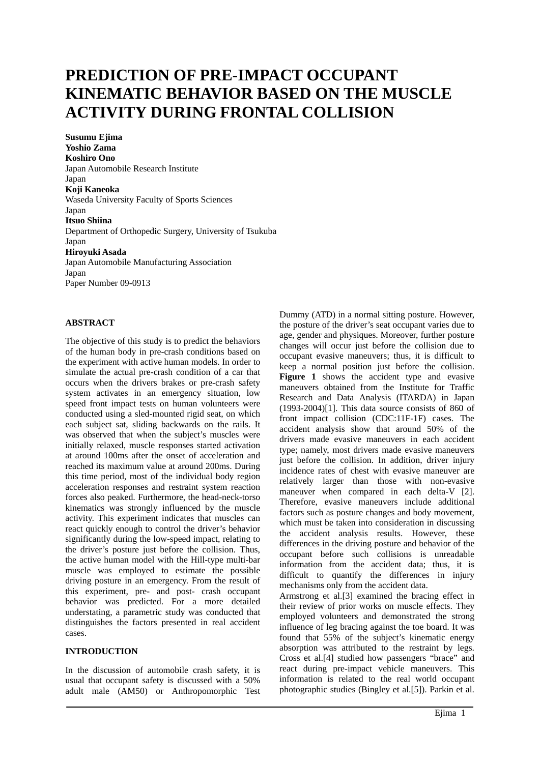# **PREDICTION OF PRE-IMPACT OCCUPANT KINEMATIC BEHAVIOR BASED ON THE MUSCLE ACTIVITY DURING FRONTAL COLLISION**

**Susumu Ejima Yoshio Zama Koshiro Ono**  Japan Automobile Research Institute Japan **Koji Kaneoka**  Waseda University Faculty of Sports Sciences Japan **Itsuo Shiina**  Department of Orthopedic Surgery, University of Tsukuba Japan **Hiroyuki Asada**  Japan Automobile Manufacturing Association Japan Paper Number 09-0913

## **ABSTRACT**

The objective of this study is to predict the behaviors of the human body in pre-crash conditions based on the experiment with active human models. In order to simulate the actual pre-crash condition of a car that occurs when the drivers brakes or pre-crash safety system activates in an emergency situation, low speed front impact tests on human volunteers were conducted using a sled-mounted rigid seat, on which each subject sat, sliding backwards on the rails. It was observed that when the subject's muscles were initially relaxed, muscle responses started activation at around 100ms after the onset of acceleration and reached its maximum value at around 200ms. During this time period, most of the individual body region acceleration responses and restraint system reaction forces also peaked. Furthermore, the head-neck-torso kinematics was strongly influenced by the muscle activity. This experiment indicates that muscles can react quickly enough to control the driver's behavior significantly during the low-speed impact, relating to the driver's posture just before the collision. Thus, the active human model with the Hill-type multi-bar muscle was employed to estimate the possible driving posture in an emergency. From the result of this experiment, pre- and post- crash occupant behavior was predicted. For a more detailed understating, a parametric study was conducted that distinguishes the factors presented in real accident cases.

## **INTRODUCTION**

In the discussion of automobile crash safety, it is usual that occupant safety is discussed with a 50% adult male (AM50) or Anthropomorphic Test Dummy (ATD) in a normal sitting posture. However, the posture of the driver's seat occupant varies due to age, gender and physiques. Moreover, further posture changes will occur just before the collision due to occupant evasive maneuvers; thus, it is difficult to keep a normal position just before the collision. Figure 1 shows the accident type and evasive maneuvers obtained from the Institute for Traffic Research and Data Analysis (ITARDA) in Japan (1993-2004)[1]. This data source consists of 860 of front impact collision (CDC:11F-1F) cases. The accident analysis show that around 50% of the drivers made evasive maneuvers in each accident type; namely, most drivers made evasive maneuvers just before the collision. In addition, driver injury incidence rates of chest with evasive maneuver are relatively larger than those with non-evasive maneuver when compared in each delta-V [2]. Therefore, evasive maneuvers include additional factors such as posture changes and body movement, which must be taken into consideration in discussing the accident analysis results. However, these differences in the driving posture and behavior of the occupant before such collisions is unreadable information from the accident data; thus, it is difficult to quantify the differences in injury mechanisms only from the accident data.

Armstrong et al.[3] examined the bracing effect in their review of prior works on muscle effects. They employed volunteers and demonstrated the strong influence of leg bracing against the toe board. It was found that 55% of the subject's kinematic energy absorption was attributed to the restraint by legs. Cross et al.[4] studied how passengers "brace" and react during pre-impact vehicle maneuvers. This information is related to the real world occupant photographic studies (Bingley et al.[5]). Parkin et al.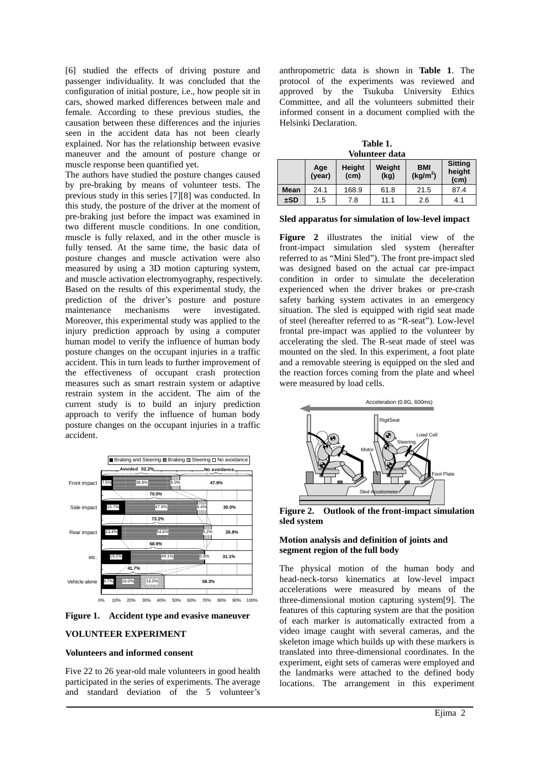[6] studied the effects of driving posture and passenger individuality. It was concluded that the configuration of initial posture, i.e., how people sit in cars, showed marked differences between male and female. According to these previous studies, the causation between these differences and the injuries seen in the accident data has not been clearly explained. Nor has the relationship between evasive maneuver and the amount of posture change or muscle response been quantified yet.

The authors have studied the posture changes caused by pre-braking by means of volunteer tests. The previous study in this series [7][8] was conducted. In this study, the posture of the driver at the moment of pre-braking just before the impact was examined in two different muscle conditions. In one condition, muscle is fully relaxed, and in the other muscle is fully tensed. At the same time, the basic data of posture changes and muscle activation were also measured by using a 3D motion capturing system, and muscle activation electromyography, respectively. Based on the results of this experimental study, the prediction of the driver's posture and posture maintenance mechanisms were investigated. Moreover, this experimental study was applied to the injury prediction approach by using a computer human model to verify the influence of human body posture changes on the occupant injuries in a traffic accident. This in turn leads to further improvement of the effectiveness of occupant crash protection measures such as smart restrain system or adaptive restrain system in the accident. The aim of the current study is to build an injury prediction approach to verify the influence of human body posture changes on the occupant injuries in a traffic accident.



**Figure 1. Accident type and evasive maneuver** 

#### **VOLUNTEER EXPERIMENT**

#### **Volunteers and informed consent**

Five 22 to 26 year-old male volunteers in good health participated in the series of experiments. The average and standard deviation of the 5 volunteer's

anthropometric data is shown in **Table 1**. The protocol of the experiments was reviewed and approved by the Tsukuba University Ethics Committee, and all the volunteers submitted their informed consent in a document complied with the Helsinki Declaration.

**Table 1. Volunteer data** 

|      | Age<br>(year) | <b>Height</b><br>(c <sub>m</sub> ) | Weight<br>(kg) | <b>BMI</b><br>(kg/m <sup>2</sup> ) | <b>Sitting</b><br>height<br>(cm) |  |  |  |
|------|---------------|------------------------------------|----------------|------------------------------------|----------------------------------|--|--|--|
| Mean | 24.1          | 168.9                              | 61.8           | 21.5                               | 87.4                             |  |  |  |
| ±SD  | 1.5           | 7.8                                | 11.1           | 2.6                                | 4.1                              |  |  |  |

#### **Sled apparatus for simulation of low-level impact**

**Figure 2** illustrates the initial view of the front-impact simulation sled system (hereafter referred to as "Mini Sled"). The front pre-impact sled was designed based on the actual car pre-impact condition in order to simulate the deceleration experienced when the driver brakes or pre-crash safety barking system activates in an emergency situation. The sled is equipped with rigid seat made of steel (hereafter referred to as "R-seat"). Low-level frontal pre-impact was applied to the volunteer by accelerating the sled. The R-seat made of steel was mounted on the sled. In this experiment, a foot plate and a removable steering is equipped on the sled and the reaction forces coming from the plate and wheel were measured by load cells.



**Figure 2. Outlook of the front-impact simulation sled system** 

## **Motion analysis and definition of joints and segment region of the full body**

The physical motion of the human body and head-neck-torso kinematics at low-level impact accelerations were measured by means of the three-dimensional motion capturing system[9]. The features of this capturing system are that the position of each marker is automatically extracted from a video image caught with several cameras, and the skeleton image which builds up with these markers is translated into three-dimensional coordinates. In the experiment, eight sets of cameras were employed and the landmarks were attached to the defined body locations. The arrangement in this experiment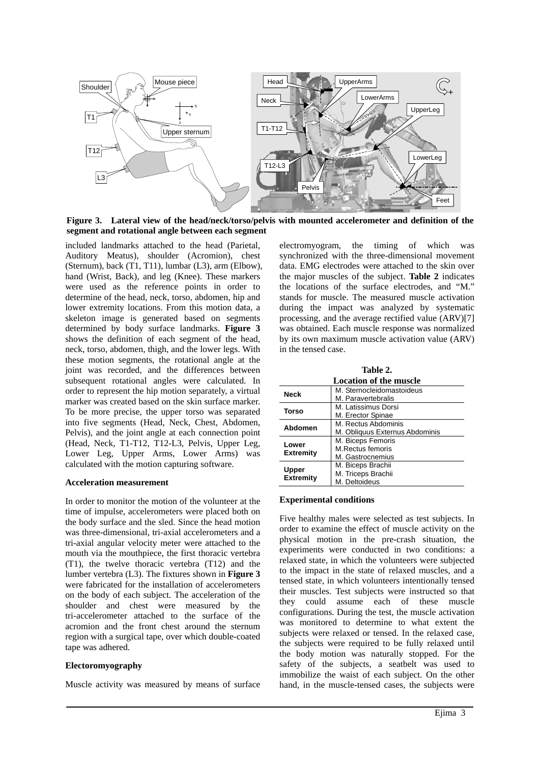

**Figure 3. Lateral view of the head/neck/torso/pelvis with mounted accelerometer and definition of the segment and rotational angle between each segment** 

included landmarks attached to the head (Parietal, Auditory Meatus), shoulder (Acromion), chest (Sternum), back (T1, T11), lumbar (L3), arm (Elbow), hand (Wrist, Back), and leg (Knee). These markers were used as the reference points in order to determine of the head, neck, torso, abdomen, hip and lower extremity locations. From this motion data, a skeleton image is generated based on segments determined by body surface landmarks. **Figure 3** shows the definition of each segment of the head, neck, torso, abdomen, thigh, and the lower legs. With these motion segments, the rotational angle at the joint was recorded, and the differences between subsequent rotational angles were calculated. In order to represent the hip motion separately, a virtual marker was created based on the skin surface marker. To be more precise, the upper torso was separated into five segments (Head, Neck, Chest, Abdomen, Pelvis), and the joint angle at each connection point (Head, Neck, T1-T12, T12-L3, Pelvis, Upper Leg, Lower Leg, Upper Arms, Lower Arms) was calculated with the motion capturing software.

#### **Acceleration measurement**

In order to monitor the motion of the volunteer at the time of impulse, accelerometers were placed both on the body surface and the sled. Since the head motion was three-dimensional, tri-axial accelerometers and a tri-axial angular velocity meter were attached to the mouth via the mouthpiece, the first thoracic vertebra (T1), the twelve thoracic vertebra (T12) and the lumber vertebra (L3). The fixtures shown in **Figure 3** were fabricated for the installation of accelerometers on the body of each subject. The acceleration of the shoulder and chest were measured by the tri-accelerometer attached to the surface of the acromion and the front chest around the sternum region with a surgical tape, over which double-coated tape was adhered.

## **Electoromyography**

Muscle activity was measured by means of surface

electromyogram, the timing of which was synchronized with the three-dimensional movement data. EMG electrodes were attached to the skin over the major muscles of the subject. **Table 2** indicates the locations of the surface electrodes, and "M." stands for muscle. The measured muscle activation during the impact was analyzed by systematic processing, and the average rectified value (ARV)[7] was obtained. Each muscle response was normalized by its own maximum muscle activation value (ARV) in the tensed case.

| Table 2.               |                                |  |  |  |  |  |
|------------------------|--------------------------------|--|--|--|--|--|
| Location of the muscle |                                |  |  |  |  |  |
| <b>Neck</b>            | M. Sternocleidomastoideus      |  |  |  |  |  |
|                        | M. Paravertebralis             |  |  |  |  |  |
| <b>Torso</b>           | M. Latissimus Dorsi            |  |  |  |  |  |
|                        | M. Erector Spinae              |  |  |  |  |  |
| Abdomen                | M. Rectus Abdominis            |  |  |  |  |  |
|                        | M. Obliquus Externus Abdominis |  |  |  |  |  |
| Lower                  | M. Biceps Femoris              |  |  |  |  |  |
|                        | <b>M.Rectus femoris</b>        |  |  |  |  |  |
| <b>Extremity</b>       | M. Gastrocnemius               |  |  |  |  |  |
|                        | M. Biceps Brachii              |  |  |  |  |  |
| Upper                  | M. Triceps Brachii             |  |  |  |  |  |
| <b>Extremity</b>       | M. Deltoideus                  |  |  |  |  |  |

#### **Experimental conditions**

Five healthy males were selected as test subjects. In order to examine the effect of muscle activity on the physical motion in the pre-crash situation, the experiments were conducted in two conditions: a relaxed state, in which the volunteers were subjected to the impact in the state of relaxed muscles, and a tensed state, in which volunteers intentionally tensed their muscles. Test subjects were instructed so that they could assume each of these muscle configurations. During the test, the muscle activation was monitored to determine to what extent the subjects were relaxed or tensed. In the relaxed case, the subjects were required to be fully relaxed until the body motion was naturally stopped. For the safety of the subjects, a seatbelt was used to immobilize the waist of each subject. On the other hand, in the muscle-tensed cases, the subjects were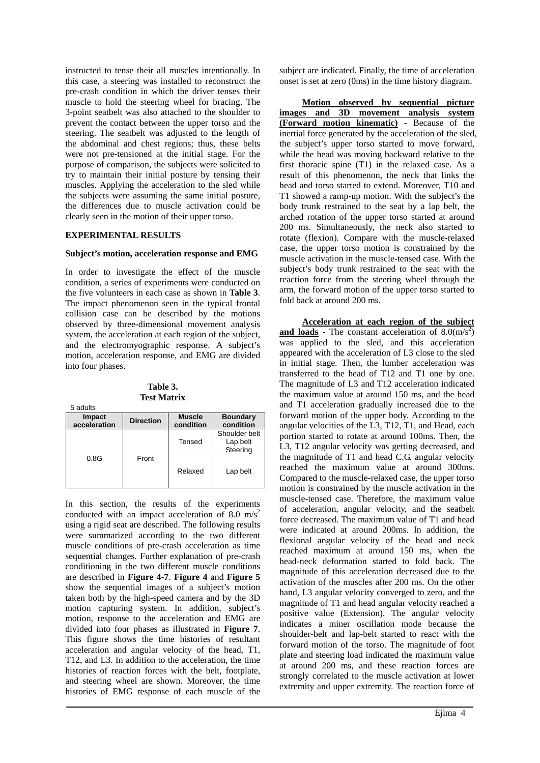instructed to tense their all muscles intentionally. In this case, a steering was installed to reconstruct the pre-crash condition in which the driver tenses their muscle to hold the steering wheel for bracing. The 3-point seatbelt was also attached to the shoulder to prevent the contact between the upper torso and the steering. The seatbelt was adjusted to the length of the abdominal and chest regions; thus, these belts were not pre-tensioned at the initial stage. For the purpose of comparison, the subjects were solicited to try to maintain their initial posture by tensing their muscles. Applying the acceleration to the sled while the subjects were assuming the same initial posture, the differences due to muscle activation could be clearly seen in the motion of their upper torso.

## **EXPERIMENTAL RESULTS**

5 adults

#### **Subject's motion, acceleration response and EMG**

In order to investigate the effect of the muscle condition, a series of experiments were conducted on the five volunteers in each case as shown in **Table 3**. The impact phenomenon seen in the typical frontal collision case can be described by the motions observed by three-dimensional movement analysis system, the acceleration at each region of the subject, and the electromyographic response. A subject's motion, acceleration response, and EMG are divided into four phases.

**Table 3. Test Matrix** 

| Impact<br>acceleration | <b>Direction</b> | <b>Muscle</b><br>condition | <b>Boundary</b><br>condition          |
|------------------------|------------------|----------------------------|---------------------------------------|
|                        | Front            | Tensed                     | Shoulder belt<br>Lap belt<br>Steering |
| 0.8G                   |                  | Relaxed                    | Lap belt                              |

In this section, the results of the experiments conducted with an impact acceleration of 8.0 m/s<sup>2</sup> using a rigid seat are described. The following results were summarized according to the two different muscle conditions of pre-crash acceleration as time sequential changes. Further explanation of pre-crash conditioning in the two different muscle conditions are described in **Figure 4-7**. **Figure 4** and **Figure 5** show the sequential images of a subject's motion taken both by the high-speed camera and by the 3D motion capturing system. In addition, subject's motion, response to the acceleration and EMG are divided into four phases as illustrated in **Figure 7**. This figure shows the time histories of resultant acceleration and angular velocity of the head, T1, T12, and L3. In addition to the acceleration, the time histories of reaction forces with the belt, footplate, and steering wheel are shown. Moreover, the time histories of EMG response of each muscle of the subject are indicated. Finally, the time of acceleration onset is set at zero (0ms) in the time history diagram.

**Motion observed by sequential picture images and 3D movement analysis system (Forward motion kinematic)** - Because of the inertial force generated by the acceleration of the sled, the subject's upper torso started to move forward, while the head was moving backward relative to the first thoracic spine (T1) in the relaxed case. As a result of this phenomenon, the neck that links the head and torso started to extend. Moreover, T10 and T1 showed a ramp-up motion. With the subject's the body trunk restrained to the seat by a lap belt, the arched rotation of the upper torso started at around 200 ms. Simultaneously, the neck also started to rotate (flexion). Compare with the muscle-relaxed case, the upper torso motion is constrained by the muscle activation in the muscle-tensed case. With the subject's body trunk restrained to the seat with the reaction force from the steering wheel through the arm, the forward motion of the upper torso started to fold back at around 200 ms.

**Acceleration at each region of the subject**  and loads - The constant acceleration of  $8.0 \text{(m/s}^2)$ was applied to the sled, and this acceleration appeared with the acceleration of L3 close to the sled in initial stage. Then, the lumber acceleration was transferred to the head of T12 and T1 one by one. The magnitude of L3 and T12 acceleration indicated the maximum value at around 150 ms, and the head and T1 acceleration gradually increased due to the forward motion of the upper body. According to the angular velocities of the L3, T12, T1, and Head, each portion started to rotate at around 100ms. Then, the L3, T12 angular velocity was getting decreased, and the magnitude of T1 and head C.G. angular velocity reached the maximum value at around 300ms. Compared to the muscle-relaxed case, the upper torso motion is constrained by the muscle activation in the muscle-tensed case. Therefore, the maximum value of acceleration, angular velocity, and the seatbelt force decreased. The maximum value of T1 and head were indicated at around 200ms. In addition, the flexional angular velocity of the head and neck reached maximum at around 150 ms, when the head-neck deformation started to fold back. The magnitude of this acceleration decreased due to the activation of the muscles after 200 ms. On the other hand, L3 angular velocity converged to zero, and the magnitude of T1 and head angular velocity reached a positive value (Extension). The angular velocity indicates a miner oscillation mode because the shoulder-belt and lap-belt started to react with the forward motion of the torso. The magnitude of foot plate and steering load indicated the maximum value at around 200 ms, and these reaction forces are strongly correlated to the muscle activation at lower extremity and upper extremity. The reaction force of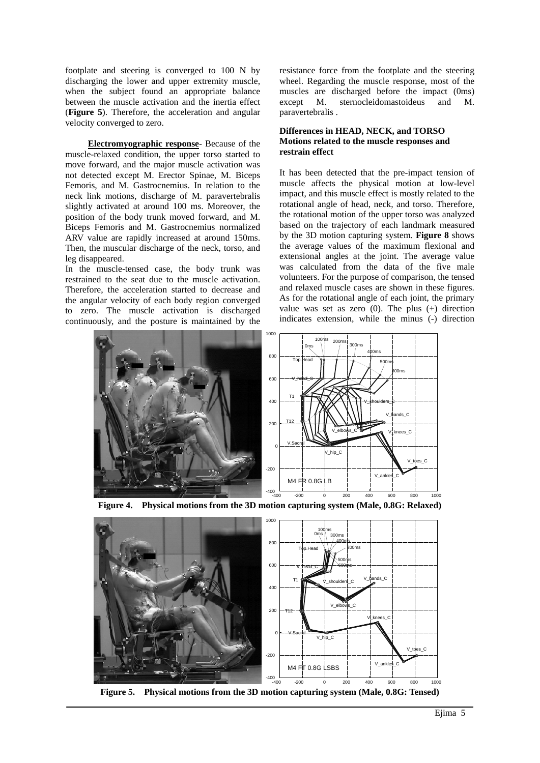footplate and steering is converged to 100 N by discharging the lower and upper extremity muscle, when the subject found an appropriate balance between the muscle activation and the inertia effect (**Figure 5**). Therefore, the acceleration and angular velocity converged to zero.

**Electromyographic response**- Because of the muscle-relaxed condition, the upper torso started to move forward, and the major muscle activation was not detected except M. Erector Spinae, M. Biceps Femoris, and M. Gastrocnemius. In relation to the neck link motions, discharge of M. paravertebralis slightly activated at around 100 ms. Moreover, the position of the body trunk moved forward, and M. Biceps Femoris and M. Gastrocnemius normalized ARV value are rapidly increased at around 150ms. Then, the muscular discharge of the neck, torso, and leg disappeared.

In the muscle-tensed case, the body trunk was restrained to the seat due to the muscle activation. Therefore, the acceleration started to decrease and the angular velocity of each body region converged to zero. The muscle activation is discharged continuously, and the posture is maintained by the resistance force from the footplate and the steering wheel. Regarding the muscle response, most of the muscles are discharged before the impact (0ms) except M. sternocleidomastoideus and M. paravertebralis .

### **Differences in HEAD, NECK, and TORSO Motions related to the muscle responses and restrain effect**

It has been detected that the pre-impact tension of muscle affects the physical motion at low-level impact, and this muscle effect is mostly related to the rotational angle of head, neck, and torso. Therefore, the rotational motion of the upper torso was analyzed based on the trajectory of each landmark measured by the 3D motion capturing system. **Figure 8** shows the average values of the maximum flexional and extensional angles at the joint. The average value was calculated from the data of the five male volunteers. For the purpose of comparison, the tensed and relaxed muscle cases are shown in these figures. As for the rotational angle of each joint, the primary value was set as zero  $(0)$ . The plus  $(+)$  direction indicates extension, while the minus (-) direction





**Figure 4. Physical motions from the 3D motion capturing system (Male, 0.8G: Relaxed)** 

**Figure 5. Physical motions from the 3D motion capturing system (Male, 0.8G: Tensed)**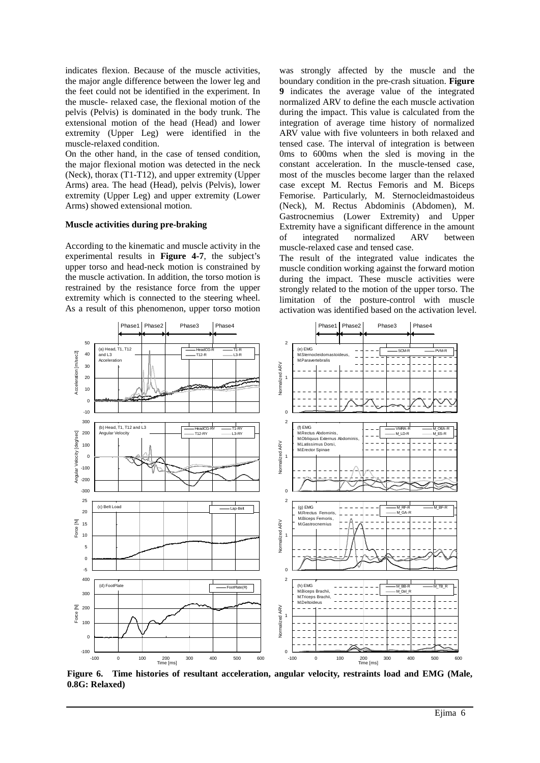indicates flexion. Because of the muscle activities, the major angle difference between the lower leg and the feet could not be identified in the experiment. In the muscle- relaxed case, the flexional motion of the pelvis (Pelvis) is dominated in the body trunk. The extensional motion of the head (Head) and lower extremity (Upper Leg) were identified in the muscle-relaxed condition.

On the other hand, in the case of tensed condition, the major flexional motion was detected in the neck (Neck), thorax (T1-T12), and upper extremity (Upper Arms) area. The head (Head), pelvis (Pelvis), lower extremity (Upper Leg) and upper extremity (Lower Arms) showed extensional motion.

### **Muscle activities during pre-braking**

According to the kinematic and muscle activity in the experimental results in **Figure 4-7**, the subject's upper torso and head-neck motion is constrained by the muscle activation. In addition, the torso motion is restrained by the resistance force from the upper extremity which is connected to the steering wheel. As a result of this phenomenon, upper torso motion was strongly affected by the muscle and the boundary condition in the pre-crash situation. **Figure 9** indicates the average value of the integrated normalized ARV to define the each muscle activation during the impact. This value is calculated from the integration of average time history of normalized ARV value with five volunteers in both relaxed and tensed case. The interval of integration is between 0ms to 600ms when the sled is moving in the constant acceleration. In the muscle-tensed case, most of the muscles become larger than the relaxed case except M. Rectus Femoris and M. Biceps Femorise. Particularly, M. Sternocleidmastoideus (Neck), M. Rectus Abdominis (Abdomen), M. Gastrocnemius (Lower Extremity) and Upper Extremity have a significant difference in the amount of integrated normalized ARV between muscle-relaxed case and tensed case.

The result of the integrated value indicates the muscle condition working against the forward motion during the impact. These muscle activities were strongly related to the motion of the upper torso. The limitation of the posture-control with muscle activation was identified based on the activation level.



**Figure 6. Time histories of resultant acceleration, angular velocity, restraints load and EMG (Male, 0.8G: Relaxed)**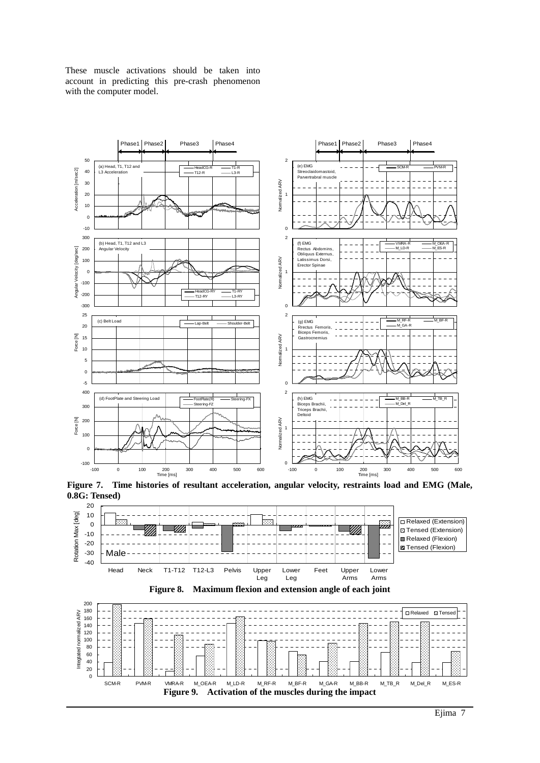

These muscle activations should be taken into account in predicting this pre-crash phenomenon with the computer model.

**Figure 7. Time histories of resultant acceleration, angular velocity, restraints load and EMG (Male, 0.8G: Tensed)** 

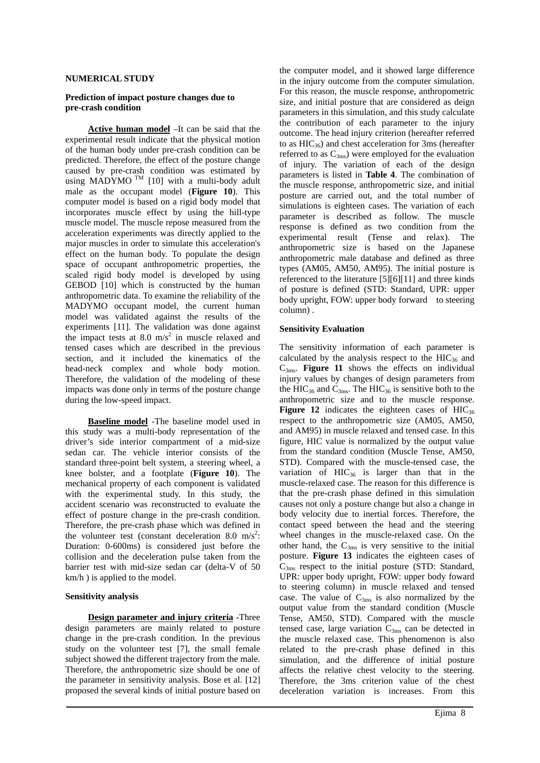#### **NUMERICAL STUDY**

#### **Prediction of impact posture changes due to pre-crash condition**

**Active human model** –It can be said that the experimental result indicate that the physical motion of the human body under pre-crash condition can be predicted. Therefore, the effect of the posture change caused by pre-crash condition was estimated by using MADYMO<sup>TM</sup> [10] with a multi-body adult male as the occupant model (**Figure 10**). This computer model is based on a rigid body model that incorporates muscle effect by using the hill-type muscle model. The muscle repose measured from the acceleration experiments was directly applied to the major muscles in order to simulate this acceleration's effect on the human body. To populate the design space of occupant anthropometric properties, the scaled rigid body model is developed by using GEBOD [10] which is constructed by the human anthropometric data. To examine the reliability of the MADYMO occupant model, the current human model was validated against the results of the experiments [11]. The validation was done against the impact tests at 8.0  $\text{m/s}^2$  in muscle relaxed and tensed cases which are described in the previous section, and it included the kinematics of the head-neck complex and whole body motion. Therefore, the validation of the modeling of these impacts was done only in terms of the posture change during the low-speed impact.

**Baseline model** -The baseline model used in this study was a multi-body representation of the driver's side interior compartment of a mid-size sedan car. The vehicle interior consists of the standard three-point belt system, a steering wheel, a knee bolster, and a footplate (**Figure 10**). The mechanical property of each component is validated with the experimental study. In this study, the accident scenario was reconstructed to evaluate the effect of posture change in the pre-crash condition. Therefore, the pre-crash phase which was defined in the volunteer test (constant deceleration 8.0 m/s<sup>2</sup>: Duration: 0-600ms) is considered just before the collision and the deceleration pulse taken from the barrier test with mid-size sedan car (delta-V of 50 km/h ) is applied to the model.

#### **Sensitivity analysis**

**Design parameter and injury criteria** -Three design parameters are mainly related to posture change in the pre-crash condition. In the previous study on the volunteer test [7], the small female subject showed the different trajectory from the male. Therefore, the anthropometric size should be one of the parameter in sensitivity analysis. Bose et al. [12] proposed the several kinds of initial posture based on the computer model, and it showed large difference in the injury outcome from the computer simulation. For this reason, the muscle response, anthropometric size, and initial posture that are considered as deign parameters in this simulation, and this study calculate the contribution of each parameter to the injury outcome. The head injury criterion (hereafter referred to as  $HIC_{36}$ ) and chest acceleration for 3ms (hereafter referred to as  $C_{3ms}$ ) were employed for the evaluation of injury. The variation of each of the design parameters is listed in **Table 4**. The combination of the muscle response, anthropometric size, and initial posture are carried out, and the total number of simulations is eighteen cases. The variation of each parameter is described as follow. The muscle response is defined as two condition from the experimental result (Tense and relax). The anthropometric size is based on the Japanese anthropometric male database and defined as three types (AM05, AM50, AM95). The initial posture is referenced to the literature [5][6][11] and three kinds of posture is defined (STD: Standard, UPR: upper body upright, FOW: upper body forward to steering column) .

#### **Sensitivity Evaluation**

The sensitivity information of each parameter is calculated by the analysis respect to the  $HIC_{36}$  and  $C_{3<sub>ms</sub>}.$  **Figure 11** shows the effects on individual injury values by changes of design parameters from the HIC<sub>36</sub> and C<sub>3ms</sub>. The HIC<sub>36</sub> is sensitive both to the anthropometric size and to the muscle response. **Figure 12** indicates the eighteen cases of  $HIC_{36}$ respect to the anthropometric size (AM05, AM50, and AM95) in muscle relaxed and tensed case. In this figure, HIC value is normalized by the output value from the standard condition (Muscle Tense, AM50, STD). Compared with the muscle-tensed case, the variation of  $HIC_{36}$  is larger than that in the muscle-relaxed case. The reason for this difference is that the pre-crash phase defined in this simulation causes not only a posture change but also a change in body velocity due to inertial forces. Therefore, the contact speed between the head and the steering wheel changes in the muscle-relaxed case. On the other hand, the  $C_{3ms}$  is very sensitive to the initial posture. **Figure 13** indicates the eighteen cases of  $C_{3ms}$  respect to the initial posture (STD: Standard, UPR: upper body upright, FOW: upper body foward to steering column) in muscle relaxed and tensed case. The value of  $C_{3ms}$  is also normalized by the output value from the standard condition (Muscle Tense, AM50, STD). Compared with the muscle tensed case, large variation  $C_{3ms}$  can be detected in the muscle relaxed case. This phenomenon is also related to the pre-crash phase defined in this simulation, and the difference of initial posture affects the relative chest velocity to the steering. Therefore, the 3ms criterion value of the chest deceleration variation is increases. From this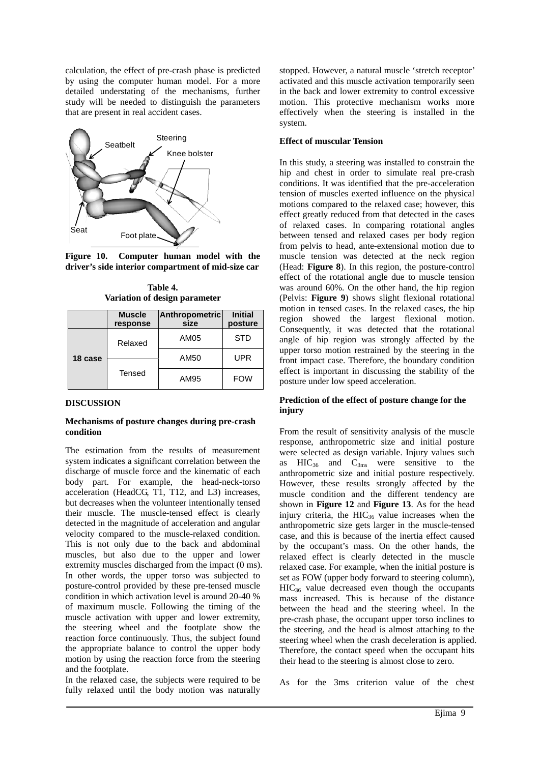calculation, the effect of pre-crash phase is predicted by using the computer human model. For a more detailed understating of the mechanisms, further study will be needed to distinguish the parameters that are present in real accident cases.



**Figure 10. Computer human model with the driver's side interior compartment of mid-size car** 

**Table 4. Variation of design parameter** 

|         | <b>Muscle</b><br>response | <b>Anthropometric</b><br>size | <b>Initial</b><br>posture |
|---------|---------------------------|-------------------------------|---------------------------|
|         | Relaxed                   | AM05                          | <b>STD</b>                |
| 18 case |                           | AM50                          | UPR                       |
|         | Tensed                    | AM95                          | <b>FOW</b>                |

## **DISCUSSION**

## **Mechanisms of posture changes during pre-crash condition**

The estimation from the results of measurement system indicates a significant correlation between the discharge of muscle force and the kinematic of each body part. For example, the head-neck-torso acceleration (HeadCG, T1, T12, and L3) increases, but decreases when the volunteer intentionally tensed their muscle. The muscle-tensed effect is clearly detected in the magnitude of acceleration and angular velocity compared to the muscle-relaxed condition. This is not only due to the back and abdominal muscles, but also due to the upper and lower extremity muscles discharged from the impact (0 ms). In other words, the upper torso was subjected to posture-control provided by these pre-tensed muscle condition in which activation level is around 20-40 % of maximum muscle. Following the timing of the muscle activation with upper and lower extremity, the steering wheel and the footplate show the reaction force continuously. Thus, the subject found the appropriate balance to control the upper body motion by using the reaction force from the steering and the footplate.

In the relaxed case, the subjects were required to be fully relaxed until the body motion was naturally stopped. However, a natural muscle 'stretch receptor' activated and this muscle activation temporarily seen in the back and lower extremity to control excessive motion. This protective mechanism works more effectively when the steering is installed in the system.

### **Effect of muscular Tension**

In this study, a steering was installed to constrain the hip and chest in order to simulate real pre-crash conditions. It was identified that the pre-acceleration tension of muscles exerted influence on the physical motions compared to the relaxed case; however, this effect greatly reduced from that detected in the cases of relaxed cases. In comparing rotational angles between tensed and relaxed cases per body region from pelvis to head, ante-extensional motion due to muscle tension was detected at the neck region (Head: **Figure 8**). In this region, the posture-control effect of the rotational angle due to muscle tension was around 60%. On the other hand, the hip region (Pelvis: **Figure 9**) shows slight flexional rotational motion in tensed cases. In the relaxed cases, the hip region showed the largest flexional motion. Consequently, it was detected that the rotational angle of hip region was strongly affected by the upper torso motion restrained by the steering in the front impact case. Therefore, the boundary condition effect is important in discussing the stability of the posture under low speed acceleration.

## **Prediction of the effect of posture change for the injury**

From the result of sensitivity analysis of the muscle response, anthropometric size and initial posture were selected as design variable. Injury values such as  $HIC_{36}$  and  $C_{3ms}$  were sensitive to the anthropometric size and initial posture respectively. However, these results strongly affected by the muscle condition and the different tendency are shown in **Figure 12** and **Figure 13**. As for the head injury criteria, the  $HIC_{36}$  value increases when the anthropometric size gets larger in the muscle-tensed case, and this is because of the inertia effect caused by the occupant's mass. On the other hands, the relaxed effect is clearly detected in the muscle relaxed case. For example, when the initial posture is set as FOW (upper body forward to steering column),  $HIC<sub>36</sub>$  value decreased even though the occupants mass increased. This is because of the distance between the head and the steering wheel. In the pre-crash phase, the occupant upper torso inclines to the steering, and the head is almost attaching to the steering wheel when the crash deceleration is applied. Therefore, the contact speed when the occupant hits their head to the steering is almost close to zero.

As for the 3ms criterion value of the chest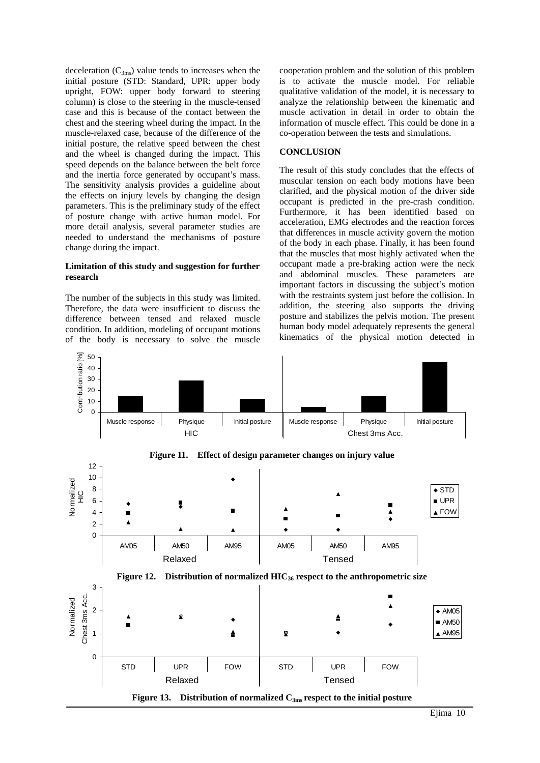deceleration  $(C_{3ms})$  value tends to increases when the initial posture (STD: Standard, UPR: upper body upright, FOW: upper body forward to steering column) is close to the steering in the muscle-tensed case and this is because of the contact between the chest and the steering wheel during the impact. In the muscle-relaxed case, because of the difference of the initial posture, the relative speed between the chest and the wheel is changed during the impact. This speed depends on the balance between the belt force and the inertia force generated by occupant's mass. The sensitivity analysis provides a guideline about the effects on injury levels by changing the design parameters. This is the preliminary study of the effect of posture change with active human model. For more detail analysis, several parameter studies are needed to understand the mechanisms of posture change during the impact.

### **Limitation of this study and suggestion for further research**

The number of the subjects in this study was limited. Therefore, the data were insufficient to discuss the difference between tensed and relaxed muscle condition. In addition, modeling of occupant motions of the body is necessary to solve the muscle cooperation problem and the solution of this problem is to activate the muscle model. For reliable qualitative validation of the model, it is necessary to analyze the relationship between the kinematic and muscle activation in detail in order to obtain the information of muscle effect. This could be done in a co-operation between the tests and simulations.

### **CONCLUSION**

The result of this study concludes that the effects of muscular tension on each body motions have been clarified, and the physical motion of the driver side occupant is predicted in the pre-crash condition. Furthermore, it has been identified based on acceleration, EMG electrodes and the reaction forces that differences in muscle activity govern the motion of the body in each phase. Finally, it has been found that the muscles that most highly activated when the occupant made a pre-braking action were the neck and abdominal muscles. These parameters are important factors in discussing the subject's motion with the restraints system just before the collision. In addition, the steering also supports the driving posture and stabilizes the pelvis motion. The present human body model adequately represents the general kinematics of the physical motion detected in